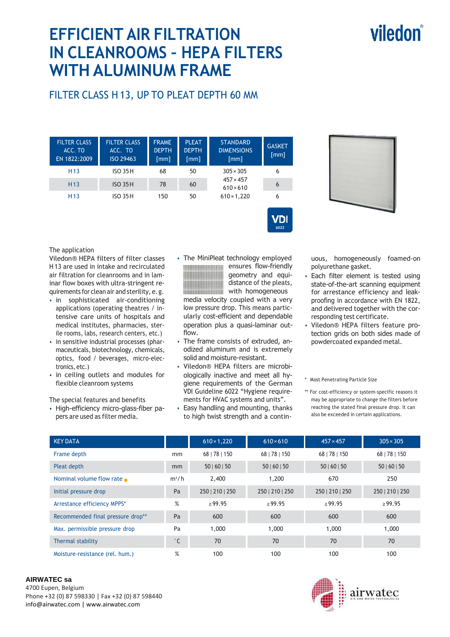# viledon

## **EFFICIENT AIR FILTRATION IN CLEANROOMS – HEPA FILTERS WITH ALUMINUM FRAME**

## FILTER CLASS H 13, UP TO PLEAT DEPTH 60 MM

| <b>FILTER CLASS</b><br>ACC. TO<br>EN 1822:2009 | <b>FILTER CLASS</b><br>ACC. TO<br>ISO 29463 | <b>FRAME</b><br><b>DEPTH</b><br>[mm] | <b>PLEAT</b><br><b>DEPTH</b><br>[mm] | <b>STANDARD</b><br><b>DIMENSIONS</b><br>[mm]               | <b>GASKET</b><br>[mm] |
|------------------------------------------------|---------------------------------------------|--------------------------------------|--------------------------------------|------------------------------------------------------------|-----------------------|
| H <sub>13</sub>                                | <b>ISO 35H</b>                              | 68                                   | 50                                   | $305 \times 305$                                           | 6                     |
| H <sub>13</sub>                                | <b>ISO 35 H</b>                             | 78                                   | 60                                   | $457 \times 457$<br>$610 \times 610$<br>$610 \times 1,220$ | 6                     |
| H <sub>13</sub>                                | <b>ISO 35 H</b>                             | 150                                  | 50                                   |                                                            | 6                     |



The application

Viledon® HEPA filters of filter classes H 13 are used in intake and recirculated air filtration for cleanrooms and in laminar flow boxes with ultra-stringent requirements for clean air and sterility, e. g.

- in sophisticated air-conditioning applications (operating theatres / intensive care units of hospitals and medical institutes, pharmacies, sterile rooms, labs, research centers, etc.)
- in sensitive industrial processes (pharmaceuticals, biotechnology, chemicals, optics, food / beverages, micro-electronics, etc.)
- in ceiling outlets and modules for flexible cleanroom systems

The special features and benefits

• High-efficiency micro-glass-fiber papers are used as filter media.

• The MiniPleat technology employed ensures flow-friendly geometry and equidistance of the pleats, with homogeneous 1111111111111111111111111

media velocity coupled with a very low pressure drop. This means particularly cost-efficient and dependable operation plus a quasi-laminar outflow.

 $\sqrt{\mathsf{D}}$ 

- The frame consists of extruded, anodized aluminum and is extremely solid and moisture-resistant.
- Viledon® HEPA filters are microbiologically inactive and meet all hygiene requirements of the German VDI Guideline 6022 "Hygiene requirements for HVAC systems and units".
- Easy handling and mounting, thanks to high twist strength and a contin-

uous, homogeneously foamed-on polyurethane gasket.

- Each filter element is tested using state-of-the-art scanning equipment for arrestance efficiency and leakproofing in accordance with EN 1822, and delivered together with the corresponding test certificate.
- Viledon® HEPA filters feature protection grids on both sides made of powdercoated expanded metal.

\* Most Penetrating Particle Size

\*\* For cost-efficiency or system-specific reasons it may be appropriate to change the filters before reaching the stated final pressure drop. It can also be exceeded in certain applications.

| <b>KEY DATA</b>                   |              | $610 \times 1,220$ | $610 \times 610$ | $457 \times 457$ | $305 \times 305$ |  |
|-----------------------------------|--------------|--------------------|------------------|------------------|------------------|--|
| Frame depth                       | mm           | 68   78   150      | 68   78   150    | 68   78   150    | 68   78   150    |  |
| Pleat depth                       | mm           | 50   60   50       | 50   60   50     | 50   60   50     | 50   60   50     |  |
| Nominal volume flow rate          | $m^3/h$      | 2,400              | 1,200            | 670              | 250              |  |
| Initial pressure drop             | Pa           | 250   210   250    | 250   210   250  | 250   210   250  | 250   210   250  |  |
| Arrestance efficiency MPPS*       | %            | >99.95             | >99.95           | >99.95           | >99.95           |  |
| Recommended final pressure drop** | Pa           | 600                | 600              | 600              | 600              |  |
| Max. permissible pressure drop    | Pa           | 1,000              | 1,000            | 1,000            | 1,000            |  |
| Thermal stability                 | $^{\circ}$ C | 70                 | 70               | 70               | 70               |  |
| Moisture-resistance (rel. hum.)   | %            | 100                | 100              | 100              | 100              |  |

#### **AIRWATEC sa**

4700 Eupen, Belgium Phone +32 (0) 87 598330 | Fax +32 (0) 87 598440 info@airwatec.com | www.airwatec.com